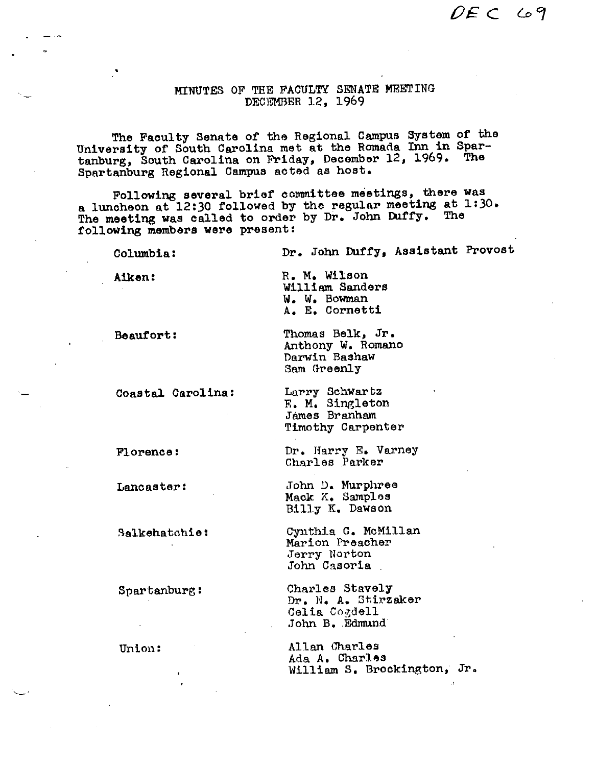$DEFC$  69

 $\mathbf{A}$ 

## MINUTES OF THE FACULTY SENATE MEETING DECEMBER 12, 1969

The Faculty Senate of the Regional Campus System of the University of South Carolina met at the Romada Inn in Spar-<br>tanburg, South Carolina on Friday, December 12, 1969. The<br>Spartanburg Regional Campus acted as host.

Following several brief committee meetings, there was a luncheon at 12:30 followed by the regular meeting at 1:30. The meeting was called to order by Dr. John Duffy. The following members were present:

| Columbia:         | Dr. John Duffy, Assistant Provost                                         |
|-------------------|---------------------------------------------------------------------------|
| Aiken:            | R. M. Wilson<br>William Sanders<br>W. W. Bowman<br>A. E. Cornetti         |
| Beaufort:         | Thomas Belk, Jr.<br>Anthony W. Romano<br>Darwin Bashaw<br>Sam Greenly     |
| Coastal Carolina: | Larry Schwartz<br>E. M. Singleton<br>Jámes Branham<br>Timothy Carpenter   |
| Florence:         | Dr. Harry E. Varney<br>Charles Parker                                     |
| Lancaster:        | John D. Murphree<br>Mack K. Samples<br>Billy K. Dawson                    |
| Salkehatchie:     | Cynthia C. McMillan<br>Marion Preacher<br>Jerry Norton<br>John Casoria    |
| Spartanburg:      | Charles Stavely<br>Dr. N. A. Stirzaker<br>Celia Cogdell<br>John B. Edmund |
| Union:<br>٠       | Allan Charles<br>Ada A. Charles<br>William S. Brockington, Jr.            |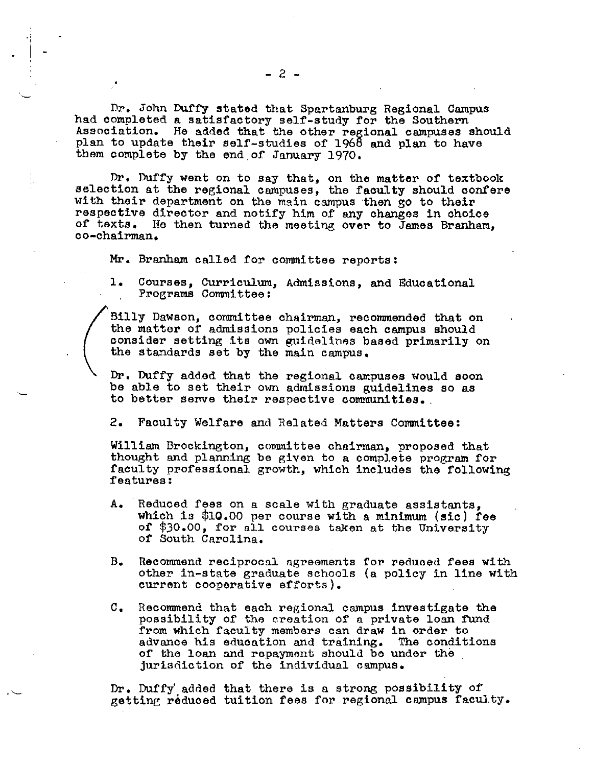Dr. John Duffy stated that Spartanburg Regional Campus had completed a satisfactory self-study for the Southern Association. He added that the other reeional campuses should plan to update their self-studies of 1968 and plan to have them complete by the end of January 1970,

Dr. Duffy went on to say that, on the matter of textbook selection at the regional campuses, the faculty should confere with their department on the main campus then go to their respective director and notify him of any changes in choice of texts. He then turned the meeting over to James Branham, co-chairman.

Mr. Branham called for committee reports:

l. Courses, Curriculum, Admissions, and Educational Programs Committee:

Billy Dawson, committee chairman, recommended that on the matter of admissions policies each campus should consider setting its own guidelines based primarily on the standards set by the main campus,

Dr. Duffy added that the regional campuses would soon be able to set their own adraissions guidelines so as to better serve their respective communities.

2, Faculty Welfare and Related Matters Connnittee:

William Brockington, committee chairman, proposed that thought and planning be given to a complete program for faculty professional growth, which includes the following features:

- A. Reduced fees on a scale with graduate assistants, which is \$10.00 per course with a minimum (sic) fee of' \*30.00, for all courses taken at the University of South Carolina.
- B. Recommend reciprocal agreements for reduced fees with other in-state graduate schools (a policy in line with current cooperative efforts).
- c. Reconnnend that each regional campus investigate the possibility of the creation of a private loan fund from which faculty members can draw in order to advance his education and training. The conditions of the loan and repayment should be under the . jurisdiction of the individual campus.

Dr. Duffy' added that there is a strong possibility of getting reduced tuition fees for regional campus faculty.

I -

-·~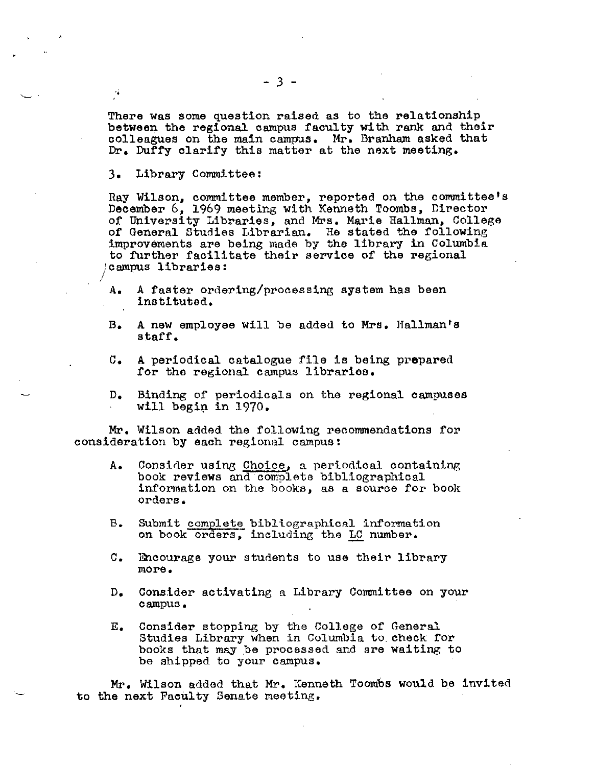There was some question raised as to the relationship between the regional campus faculty with rank and their colleagues on the main campus. Mr. Branham asked that Dr. Duffy clarify this matter at the next meeting.

3. Library Committee:

 $\setminus$ .

Ray Wilson, committee member, reported on the committee's December 6, 1969 meeting with Kenneth Toombs, Director of University Libraries, and Mrs. Marie Hallman, College of General Studies Librarian. He stated the following improvements are being made by the library in Columbia to further facilitate their service of the regional campus libraries:

- A, A faster ordering/processing system has been instituted,
- B. A new employee will be added to Mrs, Hallinan's staff.
- C. A periodical catalogue file is being prepared for the regional campus libraries.
- D. Binding of periodicals on the regional campuses will begin in  $1970.$

Mr. Wilson added the following recommendations for consideration by each regional campus:

- A, Consider using Choice, a periodical containing book reviews and· complete bibliographical information on the books, as a source for book orders,
- B. Submit complete bibliographical information on book orders, including the LC number.
- C, Encourage your students to use their library more,
- D. Consider activating a Library Committee on your campus.
- E, Consider stopping by the College of General Studies Library when in Columbia to.check for books that may be processed and are waiting to be shipped to your campus.

Mr. Wilson added that Mr. Kenneth Toombs would be invited to the next Faculty Senate meeting.